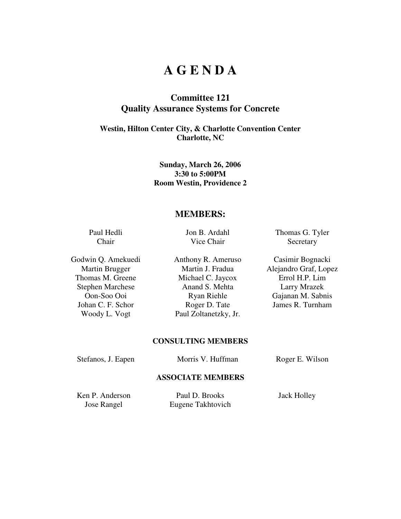# **A G E N D A**

# **Committee 121 Quality Assurance Systems for Concrete**

## **Westin, Hilton Center City, & Charlotte Convention Center Charlotte, NC**

### **Sunday, March 26, 2006 3:30 to 5:00PM Room Westin, Providence 2**

## **MEMBERS:**

Paul Hedli Chair

Jon B. Ardahl Vice Chair

Thomas G. Tyler **Secretary** 

Martin Brugger Martin J. Fradua Alejandro Graf, Lopez Thomas M. Greene Michael C. Jaycox Errol H.P. Lim<br>Stephen Marchese Anand S. Mehta Larry Mrazek Stephen Marchese Anand S. Mehta Larry Mrazek Oon-Soo Ooi Ryan Riehle Gajanan M. Sabnis Johan C. F. Schor Roger D. Tate James R. Turnham Woody L. Vogt Paul Zoltanetzky, Jr.

Godwin Q. Amekuedi Anthony R. Ameruso Casimir Bognacki

#### **CONSULTING MEMBERS**

Stefanos, J. Eapen Morris V. Huffman Roger E. Wilson

#### **ASSOCIATE MEMBERS**

Ken P. Anderson Paul D. Brooks Jack Holley

Jose Rangel Eugene Takhtovich